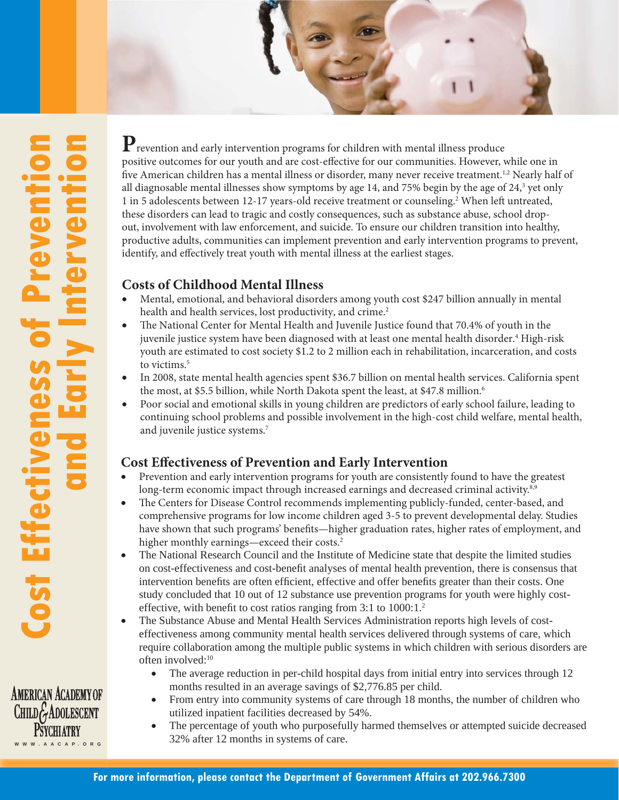

**AMERICAN ACADEMY OF** CHILDG ADOLESCENT **PSYCHTATRY** W W W . A A C A P. O R G

**P**revention and early intervention programs for children with mental illness produce positive outcomes for our youth and are cost-effective for our communities. However, while one in five American children has a mental illness or disorder, many never receive treatment.<sup>1,2</sup> Nearly half of all diagnosable mental illnesses show symptoms by age 14, and 75% begin by the age of 24, $^3$  yet only 1 in 5 adolescents between 12-17 years-old receive treatment or counseling.<sup>2</sup> When left untreated, these disorders can lead to tragic and costly consequences, such as substance abuse, school dropout, involvement with law enforcement, and suicide. To ensure our children transition into healthy, productive adults, communities can implement prevention and early intervention programs to prevent, identify, and effectively treat youth with mental illness at the earliest stages.

## **Costs of Childhood Mental Illness**

- Mental, emotional, and behavioral disorders among youth cost \$247 billion annually in mental health and health services, lost productivity, and crime.<sup>2</sup>
- The National Center for Mental Health and Juvenile Justice found that 70.4% of youth in the juvenile justice system have been diagnosed with at least one mental health disorder.<sup>4</sup> High-risk youth are estimated to cost society \$1.2 to 2 million each in rehabilitation, incarceration, and costs to victims.<sup>5</sup>
- In 2008, state mental health agencies spent \$36.7 billion on mental health services. California spent the most, at \$5.5 billion, while North Dakota spent the least, at \$47.8 million.<sup>6</sup>
- Poor social and emotional skills in young children are predictors of early school failure, leading to continuing school problems and possible involvement in the high-cost child welfare, mental health, and juvenile justice systems.7

## **Cost Effectiveness of Prevention and Early Intervention**

- Prevention and early intervention programs for youth are consistently found to have the greatest long-term economic impact through increased earnings and decreased criminal activity.<sup>8,9</sup>
- The Centers for Disease Control recommends implementing publicly-funded, center-based, and comprehensive programs for low income children aged 3-5 to prevent developmental delay. Studies have shown that such programs' benefits—higher graduation rates, higher rates of employment, and higher monthly earnings—exceed their costs.<sup>2</sup>
- The National Research Council and the Institute of Medicine state that despite the limited studies on cost-effectiveness and cost-benefi t analyses of mental health prevention, there is consensus that intervention benefits are often efficient, effective and offer benefits greater than their costs. One study concluded that 10 out of 12 substance use prevention programs for youth were highly costeffective, with benefit to cost ratios ranging from  $3:1$  to  $1000:1$ .<sup>2</sup>
- The Substance Abuse and Mental Health Services Administration reports high levels of costeffectiveness among community mental health services delivered through systems of care, which require collaboration among the multiple public systems in which children with serious disorders are often involved:10
	- The average reduction in per-child hospital days from initial entry into services through 12 months resulted in an average savings of \$2,776.85 per child.
	- From entry into community systems of care through 18 months, the number of children who utilized inpatient facilities decreased by 54%.
	- The percentage of youth who purposefully harmed themselves or attempted suicide decreased 32% after 12 months in systems of care.